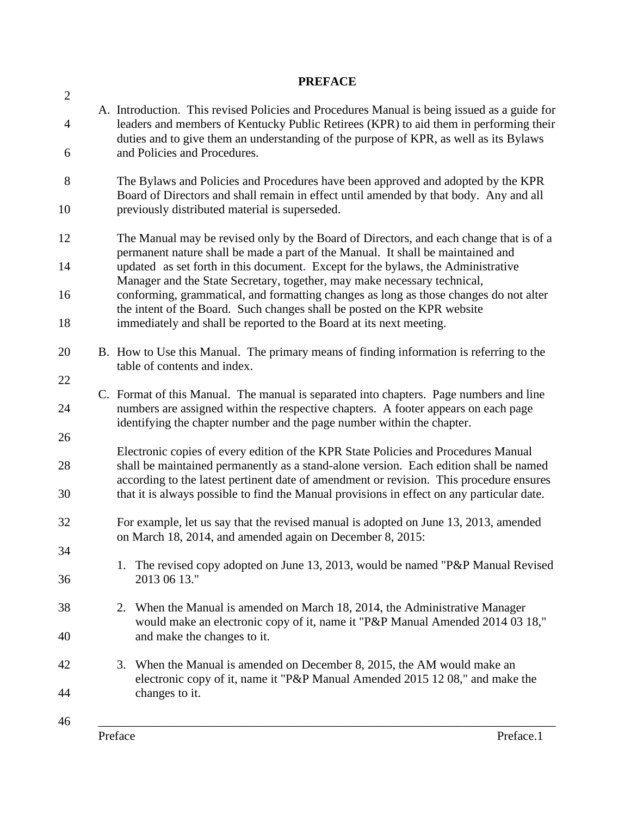## **PREFACE**  $\mathcal{L}$ A. Introduction. This revised Policies and Procedures Manual is being issued as a guide for 4 leaders and members of Kentucky Public Retirees (KPR) to aid them in performing their duties and to give them an understanding of the purpose of KPR, as well as its Bylaws 6 and Policies and Procedures. 8 The Bylaws and Policies and Procedures have been approved and adopted by the KPR Board of Directors and shall remain in effect until amended by that body. Any and all 10 previously distributed material is superseded. 12 The Manual may be revised only by the Board of Directors, and each change that is of a permanent nature shall be made a part of the Manual. It shall be maintained and 14 updated as set forth in this document. Except for the bylaws, the Administrative Manager and the State Secretary, together, may make necessary technical, 16 conforming, grammatical, and formatting changes as long as those changes do not alter the intent of the Board. Such changes shall be posted on the KPR website 18 immediately and shall be reported to the Board at its next meeting. 20 B. How to Use this Manual. The primary means of finding information is referring to the table of contents and index. 22 C. Format of this Manual. The manual is separated into chapters. Page numbers and line 24 numbers are assigned within the respective chapters. A footer appears on each page identifying the chapter number and the page number within the chapter. 26 Electronic copies of every edition of the KPR State Policies and Procedures Manual 28 shall be maintained permanently as a stand-alone version. Each edition shall be named according to the latest pertinent date of amendment or revision. This procedure ensures 30 that it is always possible to find the Manual provisions in effect on any particular date. 32 For example, let us say that the revised manual is adopted on June 13, 2013, amended on March 18, 2014, and amended again on December 8, 2015: 34 1. The revised copy adopted on June 13, 2013, would be named "P&P Manual Revised 36 2013 06 13." 38 2. When the Manual is amended on March 18, 2014, the Administrative Manager would make an electronic copy of it, name it "P&P Manual Amended 2014 03 18," 40 and make the changes to it. 42 3. When the Manual is amended on December 8, 2015, the AM would make an electronic copy of it, name it "P&P Manual Amended 2015 12 08," and make the 44 changes to it. 46 \_\_\_\_\_\_\_\_\_\_\_\_\_\_\_\_\_\_\_\_\_\_\_\_\_\_\_\_\_\_\_\_\_\_\_\_\_\_\_\_\_\_\_\_\_\_\_\_\_\_\_\_\_\_\_\_\_\_\_\_\_\_\_\_\_\_\_\_\_\_\_\_\_\_